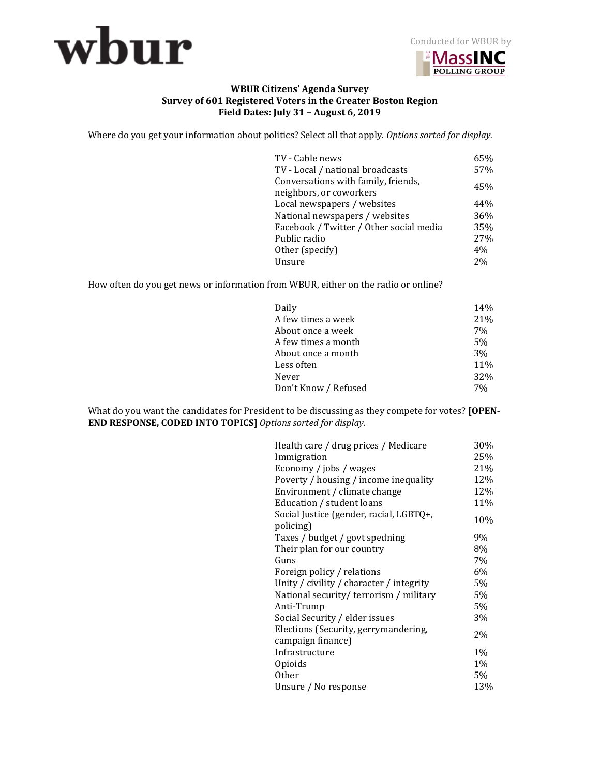



## **WBUR Citizens' Agenda Survey Survey of 601 Registered Voters in the Greater Boston Region Field Dates: July 31 – August 6, 2019**

Where do you get your information about politics? Select all that apply. *Options sorted for display.* 

| TV - Cable news<br>TV - Local / national broadcasts            | 65%<br>57% |
|----------------------------------------------------------------|------------|
| Conversations with family, friends,<br>neighbors, or coworkers | 45%        |
| Local newspapers / websites                                    | 44%        |
| National newspapers / websites                                 | 36%        |
| Facebook / Twitter / Other social media                        | 35%        |
| Public radio                                                   | 27%        |
| Other (specify)                                                | 4%         |
| Unsure                                                         | 2%         |
|                                                                |            |

How often do you get news or information from WBUR, either on the radio or online?

| Daily                | 14%            |
|----------------------|----------------|
| A few times a week   | 21%            |
| About once a week    | 7%             |
| A few times a month  | 5 <sub>%</sub> |
| About once a month   | 3%             |
| Less often           | 11%            |
| Never                | 32%            |
| Don't Know / Refused | 7%             |

What do you want the candidates for President to be discussing as they compete for votes? **[OPEN-END RESPONSE, CODED INTO TOPICS]** *Options sorted for display.*

| Health care / drug prices / Medicare     | 30%   |
|------------------------------------------|-------|
| Immigration                              | 25%   |
| Economy / jobs / wages                   | 21%   |
| Poverty / housing / income inequality    | 12%   |
| Environment / climate change             | 12%   |
| Education / student loans                | 11%   |
| Social Justice (gender, racial, LGBTQ+,  |       |
| policing)                                | 10%   |
| Taxes / budget / govt spedning           | 9%    |
| Their plan for our country               | 8%    |
| Guns                                     | 7%    |
| Foreign policy / relations               | 6%    |
| Unity / civility / character / integrity | 5%    |
| National security/terrorism / military   | 5%    |
| Anti-Trump                               | 5%    |
| Social Security / elder issues           | 3%    |
| Elections (Security, gerrymandering,     | 2%    |
| campaign finance)                        |       |
| Infrastructure                           | $1\%$ |
| Opioids                                  | $1\%$ |
| <b>Other</b>                             | 5%    |
| Unsure / No response                     | 13%   |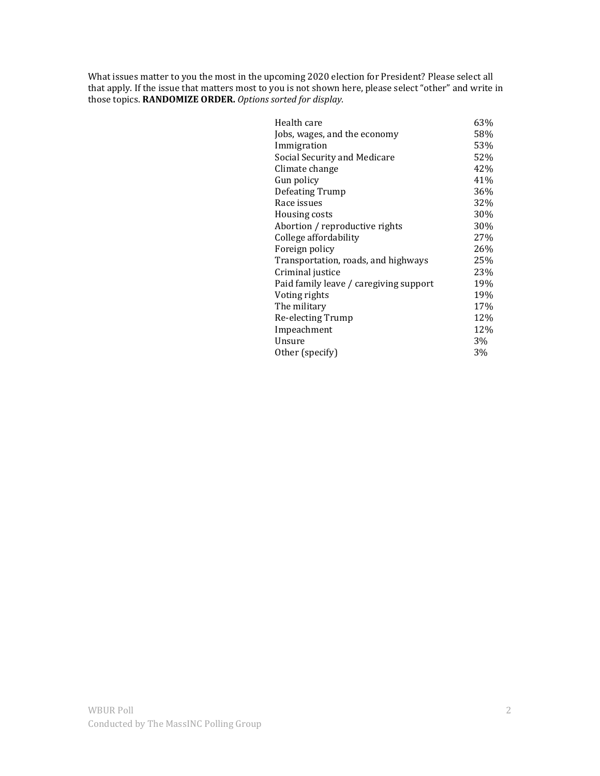What issues matter to you the most in the upcoming 2020 election for President? Please select all that apply. If the issue that matters most to you is not shown here, please select "other" and write in those topics. **RANDOMIZE ORDER.** *Options sorted for display.*

| Health care                            | 63% |
|----------------------------------------|-----|
| Jobs, wages, and the economy           | 58% |
| Immigration                            | 53% |
| Social Security and Medicare           | 52% |
| Climate change                         | 42% |
| Gun policy                             | 41% |
| Defeating Trump                        | 36% |
| Race issues                            | 32% |
| Housing costs                          | 30% |
| Abortion / reproductive rights         | 30% |
| College affordability                  | 27% |
| Foreign policy                         | 26% |
| Transportation, roads, and highways    | 25% |
| Criminal justice                       | 23% |
| Paid family leave / caregiving support | 19% |
| Voting rights                          | 19% |
| The military                           | 17% |
| Re-electing Trump                      | 12% |
| Impeachment                            | 12% |
| Unsure                                 | 3%  |
| Other (specify)                        | 3%  |